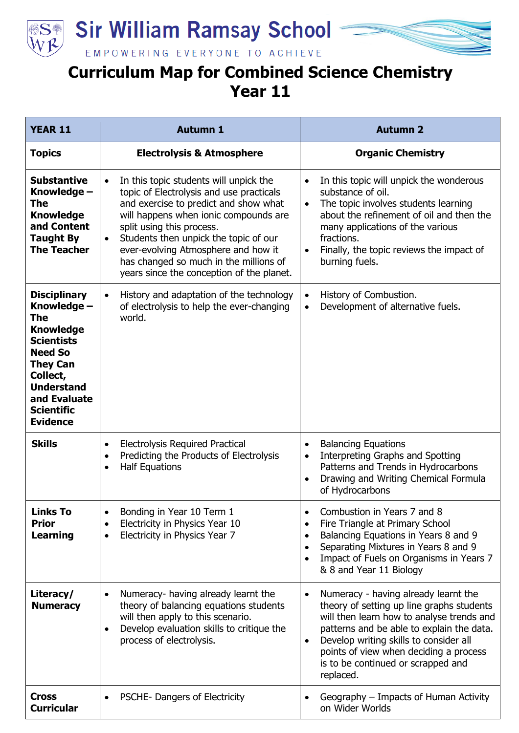

**Sir William Ramsay School** 



EMPOWERING EVERYONE TO ACHIEVE

## **Curriculum Map for Combined Science Chemistry Year 11**

| <b>YEAR 11</b>                                                                                                                                                                                                          | <b>Autumn 1</b>                                                                                                                                                                                                                                                                                                                                                                                    | <b>Autumn 2</b>                                                                                                                                                                                                                                                                                                                              |
|-------------------------------------------------------------------------------------------------------------------------------------------------------------------------------------------------------------------------|----------------------------------------------------------------------------------------------------------------------------------------------------------------------------------------------------------------------------------------------------------------------------------------------------------------------------------------------------------------------------------------------------|----------------------------------------------------------------------------------------------------------------------------------------------------------------------------------------------------------------------------------------------------------------------------------------------------------------------------------------------|
| <b>Topics</b>                                                                                                                                                                                                           | <b>Electrolysis &amp; Atmosphere</b>                                                                                                                                                                                                                                                                                                                                                               | <b>Organic Chemistry</b>                                                                                                                                                                                                                                                                                                                     |
| <b>Substantive</b><br>Knowledge -<br><b>The</b><br><b>Knowledge</b><br>and Content<br><b>Taught By</b><br><b>The Teacher</b>                                                                                            | In this topic students will unpick the<br>$\bullet$<br>topic of Electrolysis and use practicals<br>and exercise to predict and show what<br>will happens when ionic compounds are<br>split using this process.<br>Students then unpick the topic of our<br>$\bullet$<br>ever-evolving Atmosphere and how it<br>has changed so much in the millions of<br>years since the conception of the planet. | In this topic will unpick the wonderous<br>$\bullet$<br>substance of oil.<br>The topic involves students learning<br>$\bullet$<br>about the refinement of oil and then the<br>many applications of the various<br>fractions.<br>Finally, the topic reviews the impact of<br>$\bullet$<br>burning fuels.                                      |
| <b>Disciplinary</b><br>Knowledge -<br><b>The</b><br><b>Knowledge</b><br><b>Scientists</b><br><b>Need So</b><br><b>They Can</b><br>Collect,<br><b>Understand</b><br>and Evaluate<br><b>Scientific</b><br><b>Evidence</b> | History and adaptation of the technology<br>$\bullet$<br>of electrolysis to help the ever-changing<br>world.                                                                                                                                                                                                                                                                                       | History of Combustion.<br>$\bullet$<br>Development of alternative fuels.<br>$\bullet$                                                                                                                                                                                                                                                        |
| <b>Skills</b>                                                                                                                                                                                                           | <b>Electrolysis Required Practical</b><br>$\bullet$<br>Predicting the Products of Electrolysis<br>$\bullet$<br><b>Half Equations</b><br>$\bullet$                                                                                                                                                                                                                                                  | <b>Balancing Equations</b><br>$\bullet$<br>Interpreting Graphs and Spotting<br>$\bullet$<br>Patterns and Trends in Hydrocarbons<br>Drawing and Writing Chemical Formula<br>$\bullet$<br>of Hydrocarbons                                                                                                                                      |
| <b>Links To</b><br><b>Prior</b><br><b>Learning</b>                                                                                                                                                                      | Bonding in Year 10 Term 1<br>Electricity in Physics Year 10<br>$\bullet$<br>Electricity in Physics Year 7<br>$\bullet$                                                                                                                                                                                                                                                                             | Combustion in Years 7 and 8<br>$\bullet$<br>Fire Triangle at Primary School<br>$\bullet$<br>Balancing Equations in Years 8 and 9<br>$\bullet$<br>Separating Mixtures in Years 8 and 9<br>$\bullet$<br>Impact of Fuels on Organisms in Years 7<br>$\bullet$<br>& 8 and Year 11 Biology                                                        |
| Literacy/<br><b>Numeracy</b>                                                                                                                                                                                            | Numeracy- having already learnt the<br>$\bullet$<br>theory of balancing equations students<br>will then apply to this scenario.<br>Develop evaluation skills to critique the<br>$\bullet$<br>process of electrolysis.                                                                                                                                                                              | Numeracy - having already learnt the<br>$\bullet$<br>theory of setting up line graphs students<br>will then learn how to analyse trends and<br>patterns and be able to explain the data.<br>Develop writing skills to consider all<br>$\bullet$<br>points of view when deciding a process<br>is to be continued or scrapped and<br>replaced. |
| <b>Cross</b><br><b>Curricular</b>                                                                                                                                                                                       | PSCHE- Dangers of Electricity<br>$\bullet$                                                                                                                                                                                                                                                                                                                                                         | Geography - Impacts of Human Activity<br>$\bullet$<br>on Wider Worlds                                                                                                                                                                                                                                                                        |